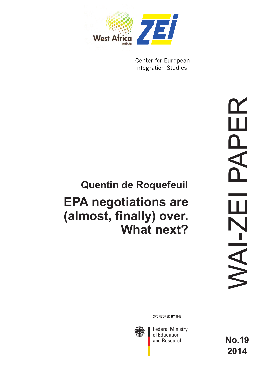

Center for European **Integration Studies** 

# **EPA negotiations are (almost, finally) over. What next? Quentin de Roquefeuil**

SPONSORED BY THE



**Federal Ministry** of Education and Research

**No.19 2014**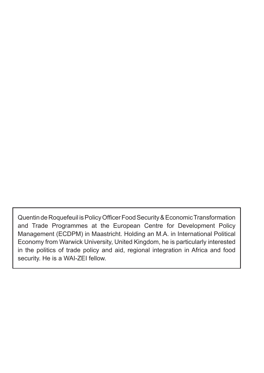Quentin de Roquefeuil is Policy Officer Food Security & Economic Transformation and Trade Programmes at the European Centre for Development Policy Management (ECDPM) in Maastricht. Holding an M.A. in International Political Economy from Warwick University, United Kingdom, he is particularly interested in the politics of trade policy and aid, regional integration in Africa and food security. He is a WAI-ZEI fellow.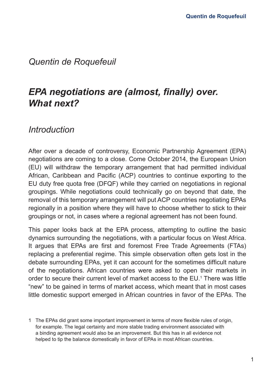### *Quentin de Roquefeuil*

# *EPA negotiations are (almost, finally) over. What next?*

### *Introduction*

After over a decade of controversy, Economic Partnership Agreement (EPA) negotiations are coming to a close. Come October 2014, the European Union (EU) will withdraw the temporary arrangement that had permitted individual African, Caribbean and Pacific (ACP) countries to continue exporting to the EU duty free quota free (DFQF) while they carried on negotiations in regional groupings. While negotiations could technically go on beyond that date, the removal of this temporary arrangement will put ACP countries negotiating EPAs regionally in a position where they will have to choose whether to stick to their groupings or not, in cases where a regional agreement has not been found.

This paper looks back at the EPA process, attempting to outline the basic dynamics surrounding the negotiations, with a particular focus on West Africa. It argues that EPAs are first and foremost Free Trade Agreements (FTAs) replacing a preferential regime. This simple observation often gets lost in the debate surrounding EPAs, yet it can account for the sometimes difficult nature of the negotiations. African countries were asked to open their markets in order to secure their current level of market access to the EU.<sup>1</sup> There was little "new" to be gained in terms of market access, which meant that in most cases little domestic support emerged in African countries in favor of the EPAs. The

<sup>1</sup> The EPAs did grant some important improvement in terms of more flexible rules of origin, for example. The legal certainty and more stable trading environment associated with a binding agreement would also be an improvement. But this has in all evidence not helped to tip the balance domestically in favor of EPAs in most African countries.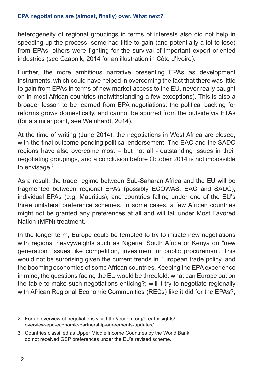#### **EPA negotiations are (almost, finally) over. What next?**

heterogeneity of regional groupings in terms of interests also did not help in speeding up the process: some had little to gain (and potentially a lot to lose) from EPAs, others were fighting for the survival of important export oriented industries (see Czapnik, 2014 for an illustration in Côte d'Ivoire).

Further, the more ambitious narrative presenting EPAs as development instruments, which could have helped in overcoming the fact that there was little to gain from EPAs in terms of new market access to the EU, never really caught on in most African countries (notwithstanding a few exceptions). This is also a broader lesson to be learned from EPA negotiations: the political backing for reforms grows domestically, and cannot be spurred from the outside via FTAs (for a similar point, see Weinhardt, 2014).

At the time of writing (June 2014), the negotiations in West Africa are closed, with the final outcome pending political endorsement. The EAC and the SADC regions have also overcome most – but not all - outstanding issues in their negotiating groupings, and a conclusion before October 2014 is not impossible to envisage.<sup>2</sup>

As a result, the trade regime between Sub-Saharan Africa and the EU will be fragmented between regional EPAs (possibly ECOWAS, EAC and SADC), individual EPAs (e.g. Mauritius), and countries falling under one of the EU's three unilateral preference schemes. In some cases, a few African countries might not be granted any preferences at all and will fall under Most Favored Nation (MFN) treatment.<sup>3</sup>

In the longer term, Europe could be tempted to try to initiate new negotiations with regional heavyweights such as Nigeria, South Africa or Kenya on "new generation" issues like competition, investment or public procurement. This would not be surprising given the current trends in European trade policy, and the booming economies of some African countries. Keeping the EPA experience in mind, the questions facing the EU would be threefold: what can Europe put on the table to make such negotiations enticing?; will it try to negotiate regionally with African Regional Economic Communities (RECs) like it did for the EPAs?;

2 For an overview of negotiations visit http://ecdpm.org/great-insights/ overview-epa-economic-partnership-agreements-updates/

3 Countries classified as Upper Middle Income Countries by the World Bank do not received GSP preferences under the EU's revised scheme.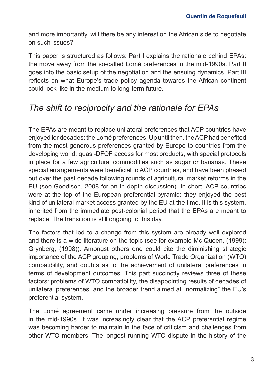and more importantly, will there be any interest on the African side to negotiate on such issues?

This paper is structured as follows: Part I explains the rationale behind EPAs: the move away from the so-called Lomé preferences in the mid-1990s. Part II goes into the basic setup of the negotiation and the ensuing dynamics. Part III reflects on what Europe's trade policy agenda towards the African continent could look like in the medium to long-term future.

## *The shift to reciprocity and the rationale for EPAs*

The EPAs are meant to replace unilateral preferences that ACP countries have enjoyed for decades: the Lomé preferences. Up until then, the ACP had benefited from the most generous preferences granted by Europe to countries from the developing world: quasi-DFQF access for most products, with special protocols in place for a few agricultural commodities such as sugar or bananas. These special arrangements were beneficial to ACP countries, and have been phased out over the past decade following rounds of agricultural market reforms in the EU (see Goodison, 2008 for an in depth discussion). In short, ACP countries were at the top of the European preferential pyramid: they enjoyed the best kind of unilateral market access granted by the EU at the time. It is this system, inherited from the immediate post-colonial period that the EPAs are meant to replace. The transition is still ongoing to this day.

The factors that led to a change from this system are already well explored and there is a wide literature on the topic (see for example Mc Queen, (1999); Grynberg, (1998)). Amongst others one could cite the diminishing strategic importance of the ACP grouping, problems of World Trade Organization (WTO) compatibility, and doubts as to the achievement of unilateral preferences in terms of development outcomes. This part succinctly reviews three of these factors: problems of WTO compatibility, the disappointing results of decades of unilateral preferences, and the broader trend aimed at "normalizing" the EU's preferential system.

The Lomé agreement came under increasing pressure from the outside in the mid-1990s. It was increasingly clear that the ACP preferential regime was becoming harder to maintain in the face of criticism and challenges from other WTO members. The longest running WTO dispute in the history of the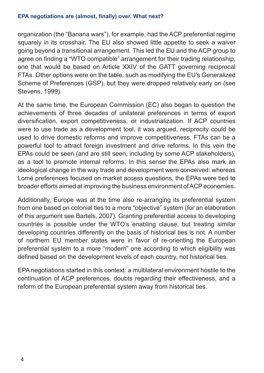#### **EPA negotiations are (almost, finally) over. What next?**

organization (the "Banana wars"), for example, had the ACP preferential regime squarely in its crosshair. The EU also showed little appetite to seek a waiver going beyond a transitional arrangement. This led the EU and the ACP group to agree on finding a "WTO compatible" arrangement for their trading relationship, one that would be based on Article XXIV of the GATT governing reciprocal FTAs. Other options were on the table, such as modifying the EU's Generalized Scheme of Preferences (GSP), but they were dropped relatively early on (see Stevens, 1999).

At the same time, the European Commission (EC) also began to question the achievements of three decades of unilateral preferences in terms of export diversification, export competitiveness, or industrialization. If ACP countries were to use trade as a development tool, it was argued, reciprocity could be used to drive domestic reforms and improve competitiveness. FTAs can be a powerful tool to attract foreign investment and drive reforms. In this vein the EPAs could be seen (and are still seen, including by some ACP stakeholders), as a tool to promote internal reforms. In this sense the EPAs also mark an ideological change in the way trade and development were conceived: whereas Lomé preferences focused on market access questions, the EPAs were tied to broader efforts aimed at improving the business environment of ACP economies.

Additionally, Europe was at the time also re-arranging its preferential system from one based on colonial ties to a more "objective" system (for an elaboration of this argument see Bartels, 2007). Granting preferential access to developing countries is possible under the WTO's enabling clause, but treating similar developing countries differently on the basis of historical ties is not. A number of northern EU member states were in favor of re-orienting the European preferential system to a more "modern" one according to which eligibility was defined based on the development levels of each country, not historical ties.

EPA negotiations started in this context: a multilateral environment hostile to the continuation of ACP preferences, doubts regarding their effectiveness, and a reform of the European preferential system away from historical ties.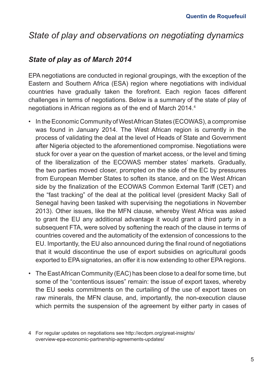# *State of play and observations on negotiating dynamics*

### *State of play as of March 2014*

EPA negotiations are conducted in regional groupings, with the exception of the Eastern and Southern Africa (ESA) region where negotiations with individual countries have gradually taken the forefront. Each region faces different challenges in terms of negotiations. Below is a summary of the state of play of negotiations in African regions as of the end of March 2014.4

- In the Economic Community of West African States (ECOWAS), a compromise was found in January 2014. The West African region is currently in the process of validating the deal at the level of Heads of State and Government after Nigeria objected to the aforementioned compromise. Negotiations were stuck for over a year on the question of market access, or the level and timing of the liberalization of the ECOWAS member states' markets. Gradually, the two parties moved closer, prompted on the side of the EC by pressures from European Member States to soften its stance, and on the West African side by the finalization of the ECOWAS Common External Tariff (CET) and the "fast tracking" of the deal at the political level (president Macky Sall of Senegal having been tasked with supervising the negotiations in November 2013). Other issues, like the MFN clause, whereby West Africa was asked to grant the EU any additional advantage it would grant a third party in a subsequent FTA, were solved by softening the reach of the clause in terms of countries covered and the automaticity of the extension of concessions to the EU. Importantly, the EU also announced during the final round of negotiations that it would discontinue the use of export subsidies on agricultural goods exported to EPA signatories, an offer it is now extending to other EPA regions.
- The East African Community (EAC) has been close to a deal for some time, but some of the "contentious issues" remain: the issue of export taxes, whereby the EU seeks commitments on the curtailing of the use of export taxes on raw minerals, the MFN clause, and, importantly, the non-execution clause which permits the suspension of the agreement by either party in cases of

<sup>4</sup> For regular updates on negotiations see http://ecdpm.org/great-insights/ overview-epa-economic-partnership-agreements-updates/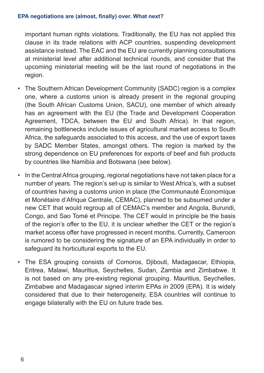important human rights violations. Traditionally, the EU has not applied this clause in its trade relations with ACP countries, suspending development assistance instead. The EAC and the EU are currently planning consultations at ministerial level after additional technical rounds, and consider that the upcoming ministerial meeting will be the last round of negotiations in the region.

- The Southern African Development Community (SADC) region is a complex one, where a customs union is already present in the regional grouping (the South African Customs Union, SACU), one member of which already has an agreement with the EU (the Trade and Development Cooperation Agreement, TDCA, between the EU and South Africa). In that region, remaining bottlenecks include issues of agricultural market access to South Africa, the safeguards associated to this access, and the use of export taxes by SADC Member States, amongst others. The region is marked by the strong dependence on EU preferences for exports of beef and fish products by countries like Namibia and Botswana (see below).
- In the Central Africa grouping, regional negotiations have not taken place for a number of years. The region's set-up is similar to West Africa's, with a subset of countries having a customs union in place (the Communauté Économique et Monétaire d'Afrique Centrale, CEMAC), planned to be subsumed under a new CET that would regroup all of CEMAC's member and Angola, Burundi, Congo, and Sao Tomé et Principe. The CET would in principle be the basis of the region's offer to the EU, it is unclear whether the CET or the region's market access offer have progressed in recent months. Currently, Cameroon is rumored to be considering the signature of an EPA individually in order to safeguard its horticultural exports to the EU.
- The ESA grouping consists of Comoros, Djibouti, Madagascar, Ethiopia, Eritrea, Malawi, Mauritius, Seychelles, Sudan, Zambia and Zimbabwe. It is not based on any pre-existing regional grouping. Mauritius, Seychelles, Zimbabwe and Madagascar signed interim EPAs in 2009 (EPA). It is widely considered that due to their heterogeneity, ESA countries will continue to engage bilaterally with the EU on future trade ties.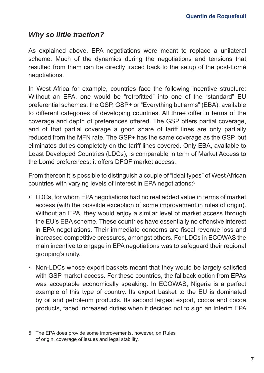### *Why so little traction?*

As explained above, EPA negotiations were meant to replace a unilateral scheme. Much of the dynamics during the negotiations and tensions that resulted from them can be directly traced back to the setup of the post-Lomé negotiations.

In West Africa for example, countries face the following incentive structure: Without an EPA, one would be "retrofitted" into one of the "standard" EU preferential schemes: the GSP, GSP+ or "Everything but arms" (EBA), available to different categories of developing countries. All three differ in terms of the coverage and depth of preferences offered. The GSP offers partial coverage, and of that partial coverage a good share of tariff lines are only partially reduced from the MFN rate. The GSP+ has the same coverage as the GSP, but eliminates duties completely on the tariff lines covered. Only EBA, available to Least Developed Countries (LDCs), is comparable in term of Market Access to the Lomé preferences: it offers DFQF market access.

From thereon it is possible to distinguish a couple of "ideal types" of West African countries with varying levels of interest in EPA negotiations:5

- LDCs, for whom EPA negotiations had no real added value in terms of market access (with the possible exception of some improvement in rules of origin). Without an EPA, they would enjoy a similar level of market access through the EU's EBA scheme. These countries have essentially no offensive interest in EPA negotiations. Their immediate concerns are fiscal revenue loss and increased competitive pressures, amongst others. For LDCs in ECOWAS the main incentive to engage in EPA negotiations was to safeguard their regional grouping's unity.
- Non-LDCs whose export baskets meant that they would be largely satisfied with GSP market access. For these countries, the fallback option from EPAs was acceptable economically speaking. In ECOWAS, Nigeria is a perfect example of this type of country. Its export basket to the EU is dominated by oil and petroleum products. Its second largest export, cocoa and cocoa products, faced increased duties when it decided not to sign an Interim EPA

<sup>5</sup> The EPA does provide some improvements, however, on Rules of origin, coverage of issues and legal stability.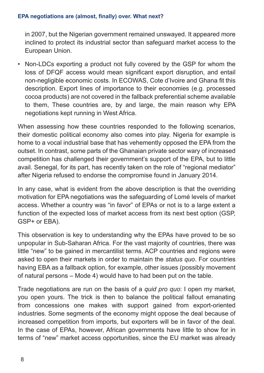in 2007, but the Nigerian government remained unswayed. It appeared more inclined to protect its industrial sector than safeguard market access to the European Union.

• Non-LDCs exporting a product not fully covered by the GSP for whom the loss of DFQF access would mean significant export disruption, and entail non-negligible economic costs. In ECOWAS, Cote d'Ivoire and Ghana fit this description. Export lines of importance to their economies (e.g. processed cocoa products) are not covered in the fallback preferential scheme available to them, These countries are, by and large, the main reason why EPA negotiations kept running in West Africa.

When assessing how these countries responded to the following scenarios, their domestic political economy also comes into play. Nigeria for example is home to a vocal industrial base that has vehemently opposed the EPA from the outset. In contrast, some parts of the Ghanaian private sector wary of increased competition has challenged their government's support of the EPA, but to little avail. Senegal, for its part, has recently taken on the role of "regional mediator" after Nigeria refused to endorse the compromise found in January 2014.

In any case, what is evident from the above description is that the overriding motivation for EPA negotiations was the safeguarding of Lomé levels of market access. Whether a country was "in favor" of EPAs or not is to a large extent a function of the expected loss of market access from its next best option (GSP, GSP+ or EBA).

This observation is key to understanding why the EPAs have proved to be so unpopular in Sub-Saharan Africa. For the vast majority of countries, there was little "new" to be gained in mercantilist terms. ACP countries and regions were asked to open their markets in order to maintain the *status quo*. For countries having EBA as a fallback option, for example, other issues (possibly movement of natural persons – Mode 4) would have to had been put on the table.

Trade negotiations are run on the basis of a *quid pro quo*: I open my market, you open yours. The trick is then to balance the political fallout emanating from concessions one makes with support gained from export-oriented industries. Some segments of the economy might oppose the deal because of increased competition from imports, but exporters will be in favor of the deal. In the case of EPAs, however, African governments have little to show for in terms of "new" market access opportunities, since the EU market was already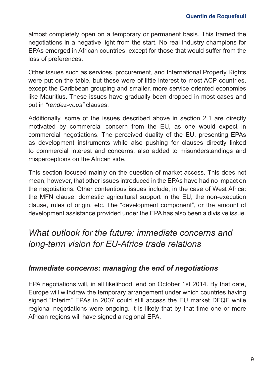almost completely open on a temporary or permanent basis. This framed the negotiations in a negative light from the start. No real industry champions for EPAs emerged in African countries, except for those that would suffer from the loss of preferences.

Other issues such as services, procurement, and International Property Rights were put on the table, but these were of little interest to most ACP countries, except the Caribbean grouping and smaller, more service oriented economies like Mauritius. These issues have gradually been dropped in most cases and put in *"rendez-vous"* clauses.

Additionally, some of the issues described above in section 2.1 are directly motivated by commercial concern from the EU, as one would expect in commercial negotiations. The perceived duality of the EU, presenting EPAs as development instruments while also pushing for clauses directly linked to commercial interest and concerns, also added to misunderstandings and misperceptions on the African side.

This section focused mainly on the question of market access. This does not mean, however, that other issues introduced in the EPAs have had no impact on the negotiations. Other contentious issues include, in the case of West Africa: the MFN clause, domestic agricultural support in the EU, the non-execution clause, rules of origin, etc. The "development component", or the amount of development assistance provided under the EPA has also been a divisive issue.

# *What outlook for the future: immediate concerns and long-term vision for EU-Africa trade relations*

### *Immediate concerns: managing the end of negotiations*

EPA negotiations will, in all likelihood, end on October 1st 2014. By that date, Europe will withdraw the temporary arrangement under which countries having signed "Interim" EPAs in 2007 could still access the EU market DFQF while regional negotiations were ongoing. It is likely that by that time one or more African regions will have signed a regional EPA.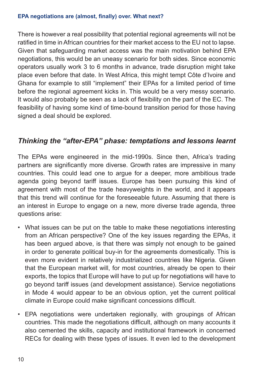#### **EPA negotiations are (almost, finally) over. What next?**

There is however a real possibility that potential regional agreements will not be ratified in time in African countries for their market access to the EU not to lapse. Given that safeguarding market access was the main motivation behind EPA negotiations, this would be an uneasy scenario for both sides. Since economic operators usually work 3 to 6 months in advance, trade disruption might take place even before that date. In West Africa, this might tempt Côte d'Ivoire and Ghana for example to still "implement" their EPAs for a limited period of time before the regional agreement kicks in. This would be a very messy scenario. It would also probably be seen as a lack of flexibility on the part of the EC. The feasibility of having some kind of time-bound transition period for those having signed a deal should be explored.

### *Thinking the "after-EPA" phase: temptations and lessons learnt*

The EPAs were engineered in the mid-1990s. Since then, Africa's trading partners are significantly more diverse. Growth rates are impressive in many countries. This could lead one to argue for a deeper, more ambitious trade agenda going beyond tariff issues. Europe has been pursuing this kind of agreement with most of the trade heavyweights in the world, and it appears that this trend will continue for the foreseeable future. Assuming that there is an interest in Europe to engage on a new, more diverse trade agenda, three questions arise:

- What issues can be put on the table to make these negotiations interesting from an African perspective? One of the key issues regarding the EPAs, it has been argued above, is that there was simply not enough to be gained in order to generate political buy-in for the agreements domestically. This is even more evident in relatively industrialized countries like Nigeria. Given that the European market will, for most countries, already be open to their exports, the topics that Europe will have to put up for negotiations will have to go beyond tariff issues (and development assistance). Service negotiations in Mode 4 would appear to be an obvious option, yet the current political climate in Europe could make significant concessions difficult.
- EPA negotiations were undertaken regionally, with groupings of African countries. This made the negotiations difficult, although on many accounts it also cemented the skills, capacity and institutional framework in concerned RECs for dealing with these types of issues. It even led to the development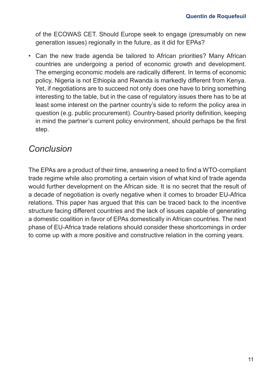of the ECOWAS CET. Should Europe seek to engage (presumably on new generation issues) regionally in the future, as it did for EPAs?

• Can the new trade agenda be tailored to African priorities? Many African countries are undergoing a period of economic growth and development. The emerging economic models are radically different. In terms of economic policy, Nigeria is not Ethiopia and Rwanda is markedly different from Kenya. Yet, if negotiations are to succeed not only does one have to bring something interesting to the table, but in the case of regulatory issues there has to be at least some interest on the partner country's side to reform the policy area in question (e.g. public procurement). Country-based priority definition, keeping in mind the partner's current policy environment, should perhaps be the first step.

# *Conclusion*

The EPAs are a product of their time, answering a need to find a WTO-compliant trade regime while also promoting a certain vision of what kind of trade agenda would further development on the African side. It is no secret that the result of a decade of negotiation is overly negative when it comes to broader EU-Africa relations. This paper has argued that this can be traced back to the incentive structure facing different countries and the lack of issues capable of generating a domestic coalition in favor of EPAs domestically in African countries. The next phase of EU-Africa trade relations should consider these shortcomings in order to come up with a more positive and constructive relation in the coming years.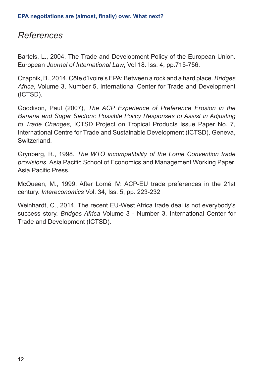### *References*

Bartels, L., 2004. The Trade and Development Policy of the European Union. European *Journal of International Law*, Vol 18. Iss. 4, pp.715-756.

Czapnik, B., 2014. Côte d'Ivoire's EPA: Between a rock and a hard place. *Bridges Africa*, Volume 3, Number 5, International Center for Trade and Development (ICTSD).

Goodison, Paul (2007), *The ACP Experience of Preference Erosion in the Banana and Sugar Sectors: Possible Policy Responses to Assist in Adjusting to Trade Changes*, ICTSD Project on Tropical Products Issue Paper No. 7, International Centre for Trade and Sustainable Development (ICTSD), Geneva, Switzerland.

Grynberg, R., 1998. *The WTO incompatibility of the Lomé Convention trade provisions.* Asia Pacific School of Economics and Management Working Paper. Asia Pacific Press.

McQueen, M., 1999. After Lomé IV: ACP-EU trade preferences in the 21st century. *Intereconomics* Vol. 34, Iss. 5, pp. 223-232

Weinhardt, C., 2014. The recent EU-West Africa trade deal is not everybody's success story. *Bridges Africa* Volume 3 - Number 3. International Center for Trade and Development (ICTSD).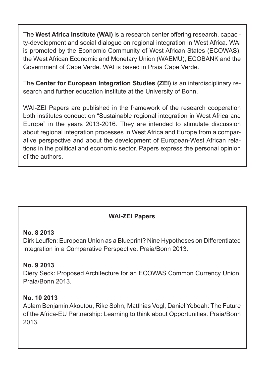The **West Africa Institute (WAI)** is a research center offering research, capacity-development and social dialogue on regional integration in West Africa. WAI is promoted by the Economic Community of West African States (ECOWAS), the West African Economic and Monetary Union (WAEMU), ECOBANK and the Government of Cape Verde. WAI is based in Praia Cape Verde.

The **Center for European Integration Studies (ZEI)** is an interdisciplinary research and further education institute at the University of Bonn.

WAI-ZEI Papers are published in the framework of the research cooperation both institutes conduct on "Sustainable regional integration in West Africa and Europe" in the years 2013-2016. They are intended to stimulate discussion about regional integration processes in West Africa and Europe from a comparative perspective and about the development of European-West African relations in the political and economic sector. Papers express the personal opinion of the authors.

### **WAI-ZEI Papers**

### **No. 8 2013**

Dirk Leuffen: European Union as a Blueprint? Nine Hypotheses on Differentiated Integration in a Comparative Perspective. Praia/Bonn 2013.

### **No. 9 2013**

Diery Seck: Proposed Architecture for an ECOWAS Common Currency Union. Praia/Bonn 2013.

### **No. 10 2013**

Ablam Benjamin Akoutou, Rike Sohn, Matthias Vogl, Daniel Yeboah: The Future of the Africa-EU Partnership: Learning to think about Opportunities. Praia/Bonn 2013.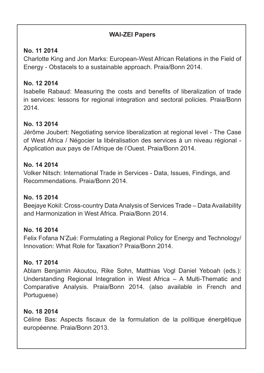### **WAI-ZEI Papers**

### **No. 11 2014**

Charlotte King and Jon Marks: European-West African Relations in the Field of Energy - Obstacels to a sustainable approach. Praia/Bonn 2014.

#### **No. 12 2014**

Isabelle Rabaud: Measuring the costs and benefits of liberalization of trade in services: lessons for regional integration and sectoral policies. Praia/Bonn 2014.

### **No. 13 2014**

Jérôme Joubert: Negotiating service liberalization at regional level - The Case of West Africa / Négocier la libéralisation des services à un niveau régional - Application aux pays de l'Afrique de l'Ouest. Praia/Bonn 2014.

### **No. 14 2014**

Volker Nitsch: International Trade in Services - Data, Issues, Findings, and Recommendations. Praia/Bonn 2014.

### **No. 15 2014**

Beejaye Kokil: Cross-country Data Analysis of Services Trade – Data Availability and Harmonization in West Africa. Praia/Bonn 2014.

### **No. 16 2014**

Felix Fofana N'Zué: Formulating a Regional Policy for Energy and Technology/ Innovation: What Role for Taxation? Praia/Bonn 2014.

### **No. 17 2014**

Ablam Benjamin Akoutou, Rike Sohn, Matthias Vogl Daniel Yeboah (eds.): Understanding Regional Integration in West Africa – A Multi-Thematic and Comparative Analysis. Praia/Bonn 2014. (also available in French and Portuguese)

### **No. 18 2014**

Céline Bas: Aspects fiscaux de la formulation de la politique énergétique européenne. Praia/Bonn 2013.